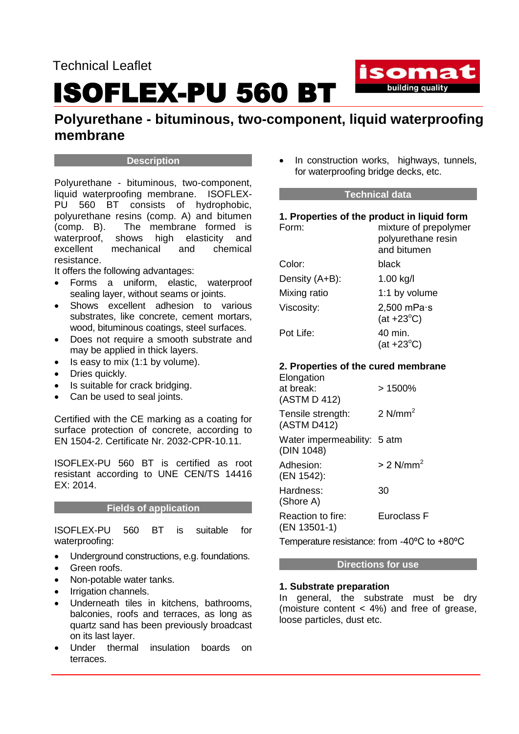# ISOFLEX-PU 560 BT



## **Polyurethane - bituminous, two-component, liquid waterproofing membrane**

#### **Description**

Polyurethane - bituminous, two-component, liquid waterproofing membrane. ISOFLEX-PU 560 BT consists of hydrophobic, polyurethane resins (comp. A) and bitumen (comp. B). The membrane formed is waterproof, shows high elasticity and excellent mechanical and chemical resistance.

It offers the following advantages:

- Forms a uniform, elastic, waterproof sealing layer, without seams or joints.
- Shows excellent adhesion to various substrates, like concrete, cement mortars, wood, bituminous coatings, steel surfaces.
- Does not require a smooth substrate and may be applied in thick layers.
- Is easy to mix (1:1 by volume).
- Dries quickly.
- Is suitable for crack bridging.
- Can be used to seal joints.

Certified with the CE marking as a coating for surface protection of concrete, according to EN 1504-2. Certificate Nr. 2032-CPR-10.11.

ISOFLEX-PU 560 BT is certified as root resistant according to UNE CEN/TS 14416  $FX: 2014$ 

#### **Fields of application**

ISOFLEX-PU 560 BT is suitable for waterproofing:

- Underground constructions, e.g. foundations.
- Green roofs.
- Non-potable water tanks.
- Irrigation channels.
- Underneath tiles in kitchens, bathrooms, balconies, roofs and terraces, as long as quartz sand has been previously broadcast on its last layer.
- Under thermal insulation boards on terraces.

• In construction works, highways, tunnels, for waterproofing bridge decks, etc.

#### **Technical data**

| 1. Properties of the product in liquid form       |                                                            |
|---------------------------------------------------|------------------------------------------------------------|
| Form:                                             | mixture of prepolymer<br>polyurethane resin<br>and bitumen |
| Color:                                            | black                                                      |
| Density (A+B):                                    | 1.00 kg/l                                                  |
| Mixing ratio                                      | 1:1 by volume                                              |
| Viscosity:                                        | $2,500$ mPa $\cdot$ s<br>$(at +23°C)$                      |
| Pot Life:                                         | 40 min.<br>$(at +23°C)$                                    |
| 2. Properties of the cured membrane<br>Elongation |                                                            |
| at break:<br>(ASTM D 412)                         | >1500%                                                     |
| Tensile strength:<br>(ASTM D412)                  | 2 $N/mm2$                                                  |
| Water impermeability: 5 atm<br>(DIN 1048)         |                                                            |
| Adhesion:<br>(EN 1542):                           | $> 2$ N/mm <sup>2</sup>                                    |
| Hardness:<br>(Shore A)                            | 30                                                         |
| Reaction to fire:                                 | Euroclass F                                                |

(EN 13501-1)

Temperature resistance: from -40ºC to +80ºC

#### **Directions for use**

#### **1. Substrate preparation**

In general, the substrate must be dry (moisture content  $<$  4%) and free of grease, loose particles, dust etc.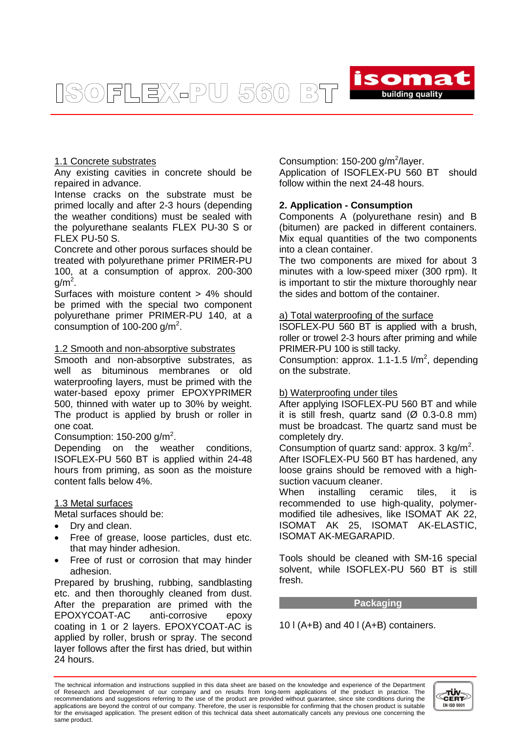ISOFLEX-PU 560  $\begin{bmatrix} 0 \\ 0 \end{bmatrix}$ 



#### 1.1 Concrete substrates

Any existing cavities in concrete should be repaired in advance.

Intense cracks on the substrate must be primed locally and after 2-3 hours (depending the weather conditions) must be sealed with the polyurethane sealants FLEX PU-30 S or FLEX PU-50 S.

Concrete and other porous surfaces should be treated with polyurethane primer PRIMER-PU 100, at a consumption of approx. 200-300  $g/m<sup>2</sup>$ .

Surfaces with moisture content > 4% should be primed with the special two component polyurethane primer PRIMER-PU 140, at a consumption of 100-200 g/m<sup>2</sup>.

#### 1.2 Smooth and non-absorptive substrates

Smooth and non-absorptive substrates, as well as bituminous membranes or old waterproofing layers, must be primed with the water-based epoxy primer EPOXYPRIMER 500, thinned with water up to 30% by weight. The product is applied by brush or roller in one coat.

Consumption:  $150-200$  g/m<sup>2</sup>.

Depending on the weather conditions, ISOFLEX-PU 560 BT is applied within 24-48 hours from priming, as soon as the moisture content falls below 4%.

#### 1.3 Metal surfaces

Metal surfaces should be:

- Dry and clean.
- Free of grease, loose particles, dust etc. that may hinder adhesion.
- Free of rust or corrosion that may hinder adhesion.

Prepared by brushing, rubbing, sandblasting etc. and then thoroughly cleaned from dust. After the preparation are primed with the EPOXYCOAT-AC anti-corrosive epoxy coating in 1 or 2 layers. EPOXYCOAT-AC is applied by roller, brush or spray. The second layer follows after the first has dried, but within 24 hours.

Consumption:  $150-200$  g/m<sup>2</sup>/layer.

Application of ISOFLEX-PU 560 BT should follow within the next 24-48 hours.

### **2. Application - Consumption**

Components A (polyurethane resin) and B (bitumen) are packed in different containers. Mix equal quantities of the two components into a clean container.

The two components are mixed for about 3 minutes with a low-speed mixer (300 rpm). It is important to stir the mixture thoroughly near the sides and bottom of the container.

#### a) Total waterproofing of the surface

ISOFLEX-PU 560 BT is applied with a brush, roller or trowel 2-3 hours after priming and while PRIMER-PU 100 is still tacky.

Consumption: approx.  $1.1 - 1.5$  I/m<sup>2</sup>, depending on the substrate.

#### b) Waterproofing under tiles

After applying ISOFLEX-PU 560 BT and while it is still fresh, quartz sand  $(\emptyset$  0.3-0.8 mm) must be broadcast. The quartz sand must be completely dry.

Consumption of quartz sand: approx.  $3 \text{ kg/m}^2$ . After ISOFLEX-PU 560 BT has hardened, any loose grains should be removed with a highsuction vacuum cleaner.

When installing ceramic tiles, it is recommended to use high-quality, polymermodified tile adhesives, like ISOMAT AK 22, ISOMAT AK 25, ISOMAT AK-ELASTIC, ISOMAT AK-MEGARAPID.

Tools should be cleaned with SM-16 special solvent, while ISOFLEX-PU 560 BT is still fresh.

**Packaging**

10 l (A+B) and 40 l (A+B) containers.